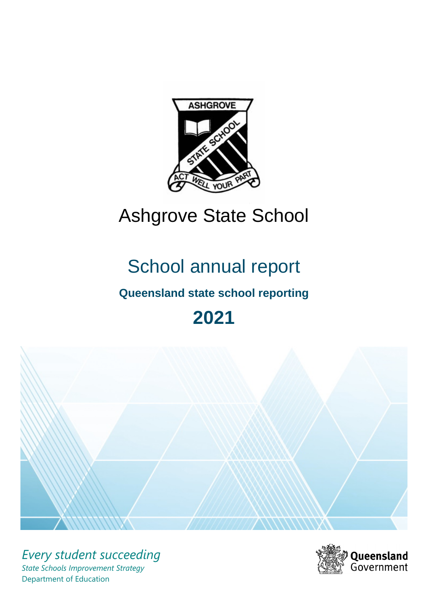

# Ashgrove State School

# School annual report

# **Queensland state school reporting**

# **2021**



*Every student succeeding State Schools Improvement Strategy* Department of Education

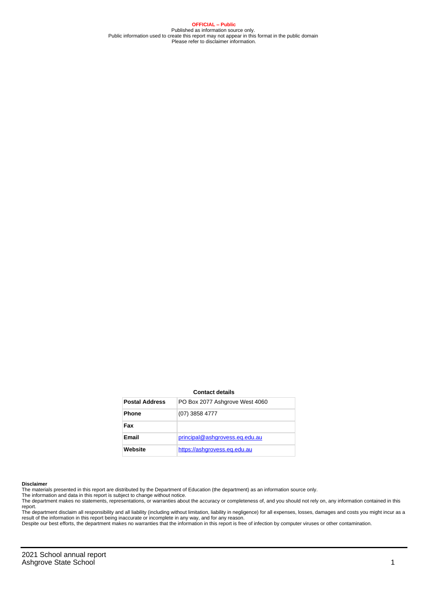**OFFICIAL – Public** Published as information source only. Public information used to create this report may not appear in this format in the public domain Please refer to disclaimer information.

#### **Contact details**

| <b>Postal Address</b> | PO Box 2077 Ashgrove West 4060 |
|-----------------------|--------------------------------|
| <b>Phone</b>          | (07) 3858 4777                 |
| Fax                   |                                |
| Email                 | principal@ashgrovess.eq.edu.au |
| Website               | https://ashgrovess.eg.edu.au   |

#### **Disclaimer**

The materials presented in this report are distributed by the Department of Education (the department) as an information source only.

The information and data in this report is subject to change without notice.<br>The department makes no statements, representations, or warranties about the accuracy or completeness of, and you should not rely on, any informa report. The department disclaim all responsibility and all liability (including without limitation, liability in negligence) for all expenses, losses, damages and costs you might incur as a

result of the information in this report being inaccurate or incomplete in any way, and for any reason.

Despite our best efforts, the department makes no warranties that the information in this report is free of infection by computer viruses or other contamination.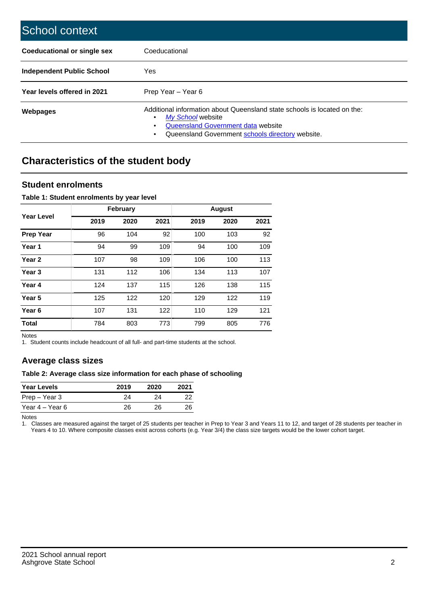| School context                   |                                                                                                                                                                                              |
|----------------------------------|----------------------------------------------------------------------------------------------------------------------------------------------------------------------------------------------|
| Coeducational or single sex      | Coeducational                                                                                                                                                                                |
| <b>Independent Public School</b> | Yes                                                                                                                                                                                          |
| Year levels offered in 2021      | Prep Year - Year 6                                                                                                                                                                           |
| Webpages                         | Additional information about Queensland state schools is located on the:<br>My School website<br>Queensland Government data website<br>Queensland Government schools directory website.<br>٠ |

# **Characteristics of the student body**

## **Student enrolments**

### **Table 1: Student enrolments by year level**

|                   |      | <b>February</b> |      |      | <b>August</b> |      |
|-------------------|------|-----------------|------|------|---------------|------|
| Year Level        | 2019 | 2020            | 2021 | 2019 | 2020          | 2021 |
| <b>Prep Year</b>  | 96   | 104             | 92   | 100  | 103           | 92   |
| Year 1            | 94   | 99              | 109  | 94   | 100           | 109  |
| Year <sub>2</sub> | 107  | 98              | 109  | 106  | 100           | 113  |
| Year <sub>3</sub> | 131  | 112             | 106  | 134  | 113           | 107  |
| Year 4            | 124  | 137             | 115  | 126  | 138           | 115  |
| Year 5            | 125  | 122             | 120  | 129  | 122           | 119  |
| Year <sub>6</sub> | 107  | 131             | 122  | 110  | 129           | 121  |
| <b>Total</b>      | 784  | 803             | 773  | 799  | 805           | 776  |

Notes

1. Student counts include headcount of all full- and part-time students at the school.

# **Average class sizes**

### **Table 2: Average class size information for each phase of schooling**

| <b>Year Levels</b> | 2019 | 2020 | 2021 |
|--------------------|------|------|------|
| Prep – Year 3      | 24   | 24   | 22   |
| Year 4 – Year 6    | 26   | 26.  | 26   |

Notes

1. Classes are measured against the target of 25 students per teacher in Prep to Year 3 and Years 11 to 12, and target of 28 students per teacher in Years 4 to 10. Where composite classes exist across cohorts (e.g. Year 3/4) the class size targets would be the lower cohort target.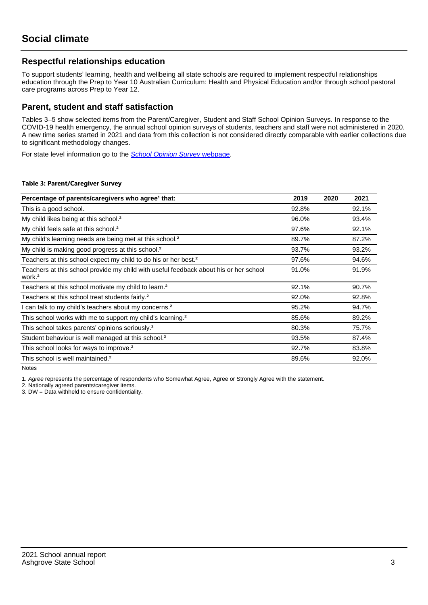## **Respectful relationships education**

To support students' learning, health and wellbeing all state schools are required to implement respectful relationships education through the Prep to Year 10 Australian Curriculum: Health and Physical Education and/or through school pastoral care programs across Prep to Year 12.

## **Parent, student and staff satisfaction**

Tables 3–5 show selected items from the Parent/Caregiver, Student and Staff School Opinion Surveys. In response to the COVID-19 health emergency, the annual school opinion surveys of students, teachers and staff were not administered in 2020. A new time series started in 2021 and data from this collection is not considered directly comparable with earlier collections due to significant methodology changes.

For state level information go to the **[School Opinion Survey](https://qed.qld.gov.au/publications/reports/statistics/schooling/schools/schoolopinionsurvey) webpage**.

#### **Table 3: Parent/Caregiver Survey**

| Percentage of parents/caregivers who agree <sup>1</sup> that:                                               | 2019  | 2020 | 2021  |
|-------------------------------------------------------------------------------------------------------------|-------|------|-------|
| This is a good school.                                                                                      | 92.8% |      | 92.1% |
| My child likes being at this school. <sup>2</sup>                                                           | 96.0% |      | 93.4% |
| My child feels safe at this school. <sup>2</sup>                                                            | 97.6% |      | 92.1% |
| My child's learning needs are being met at this school. <sup>2</sup>                                        | 89.7% |      | 87.2% |
| My child is making good progress at this school. <sup>2</sup>                                               | 93.7% |      | 93.2% |
| Teachers at this school expect my child to do his or her best. <sup>2</sup>                                 | 97.6% |      | 94.6% |
| Teachers at this school provide my child with useful feedback about his or her school<br>work. <sup>2</sup> | 91.0% |      | 91.9% |
| Teachers at this school motivate my child to learn. <sup>2</sup>                                            | 92.1% |      | 90.7% |
| Teachers at this school treat students fairly. <sup>2</sup>                                                 | 92.0% |      | 92.8% |
| can talk to my child's teachers about my concerns. <sup>2</sup>                                             | 95.2% |      | 94.7% |
| This school works with me to support my child's learning. <sup>2</sup>                                      | 85.6% |      | 89.2% |
| This school takes parents' opinions seriously. <sup>2</sup>                                                 | 80.3% |      | 75.7% |
| Student behaviour is well managed at this school. <sup>2</sup>                                              | 93.5% |      | 87.4% |
| This school looks for ways to improve. <sup>2</sup>                                                         | 92.7% |      | 83.8% |
| This school is well maintained. <sup>2</sup>                                                                | 89.6% |      | 92.0% |

Notes

1. Agree represents the percentage of respondents who Somewhat Agree, Agree or Strongly Agree with the statement.

2. Nationally agreed parents/caregiver items.

3. DW = Data withheld to ensure confidentiality.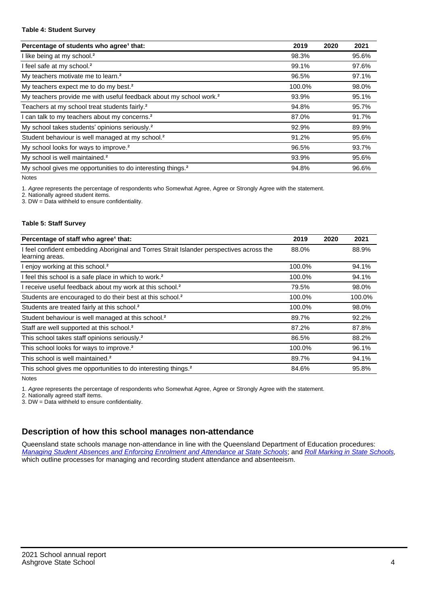#### **Table 4: Student Survey**

| Percentage of students who agree <sup>1</sup> that:                            | 2019   | 2020 | 2021  |
|--------------------------------------------------------------------------------|--------|------|-------|
| I like being at my school. <sup>2</sup>                                        | 98.3%  |      | 95.6% |
| I feel safe at my school. <sup>2</sup>                                         | 99.1%  |      | 97.6% |
| My teachers motivate me to learn. <sup>2</sup>                                 | 96.5%  |      | 97.1% |
| My teachers expect me to do my best. <sup>2</sup>                              | 100.0% |      | 98.0% |
| My teachers provide me with useful feedback about my school work. <sup>2</sup> | 93.9%  |      | 95.1% |
| Teachers at my school treat students fairly. <sup>2</sup>                      | 94.8%  |      | 95.7% |
| I can talk to my teachers about my concerns. <sup>2</sup>                      | 87.0%  |      | 91.7% |
| My school takes students' opinions seriously. <sup>2</sup>                     | 92.9%  |      | 89.9% |
| Student behaviour is well managed at my school. <sup>2</sup>                   | 91.2%  |      | 95.6% |
| My school looks for ways to improve. <sup>2</sup>                              | 96.5%  |      | 93.7% |
| My school is well maintained. <sup>2</sup>                                     | 93.9%  |      | 95.6% |
| My school gives me opportunities to do interesting things. <sup>2</sup>        | 94.8%  |      | 96.6% |

Notes

1. Agree represents the percentage of respondents who Somewhat Agree, Agree or Strongly Agree with the statement.

2. Nationally agreed student items.

3. DW = Data withheld to ensure confidentiality.

#### **Table 5: Staff Survey**

| Percentage of staff who agree <sup>1</sup> that:                                                            | 2019   | 2020 | 2021   |
|-------------------------------------------------------------------------------------------------------------|--------|------|--------|
| I feel confident embedding Aboriginal and Torres Strait Islander perspectives across the<br>learning areas. | 88.0%  |      | 88.9%  |
| I enjoy working at this school. <sup>2</sup>                                                                | 100.0% |      | 94.1%  |
| I feel this school is a safe place in which to work. <sup>2</sup>                                           | 100.0% |      | 94.1%  |
| I receive useful feedback about my work at this school. <sup>2</sup>                                        | 79.5%  |      | 98.0%  |
| Students are encouraged to do their best at this school. <sup>2</sup>                                       | 100.0% |      | 100.0% |
| Students are treated fairly at this school. <sup>2</sup>                                                    | 100.0% |      | 98.0%  |
| Student behaviour is well managed at this school. <sup>2</sup>                                              | 89.7%  |      | 92.2%  |
| Staff are well supported at this school. <sup>2</sup>                                                       | 87.2%  |      | 87.8%  |
| This school takes staff opinions seriously. <sup>2</sup>                                                    | 86.5%  |      | 88.2%  |
| This school looks for ways to improve. <sup>2</sup>                                                         | 100.0% |      | 96.1%  |
| This school is well maintained. <sup>2</sup>                                                                | 89.7%  |      | 94.1%  |
| This school gives me opportunities to do interesting things. <sup>2</sup>                                   | 84.6%  |      | 95.8%  |

Notes

1. Agree represents the percentage of respondents who Somewhat Agree, Agree or Strongly Agree with the statement.

2. Nationally agreed staff items.

3. DW = Data withheld to ensure confidentiality.

# **Description of how this school manages non-attendance**

Queensland state schools manage non-attendance in line with the Queensland Department of Education procedures: [Managing Student Absences and Enforcing Enrolment and Attendance at State Schools](https://ppr.qed.qld.gov.au/pp/managing-student-absences-and-enforcing-enrolment-and-attendance-at-state-schools-procedure); and [Roll Marking in State Schools,](https://ppr.qed.qld.gov.au/pp/roll-marking-in-state-schools-procedure) which outline processes for managing and recording student attendance and absenteeism.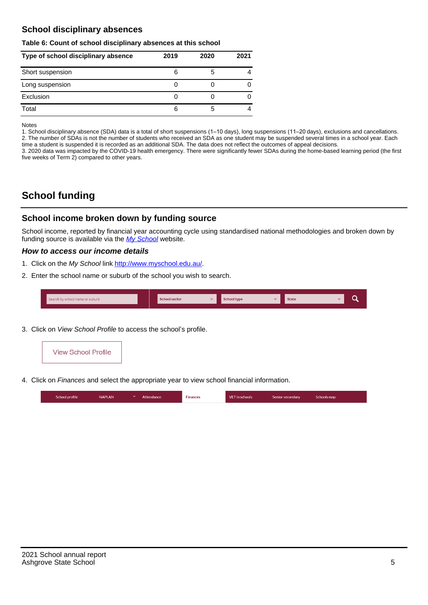# **School disciplinary absences**

#### **Table 6: Count of school disciplinary absences at this school**

| Type of school disciplinary absence | 2019 | 2020 | 2021 |
|-------------------------------------|------|------|------|
| Short suspension                    | 6    | b    |      |
| Long suspension                     |      |      |      |
| Exclusion                           |      |      |      |
| Total                               | 6    | 5    |      |

Notes

1. School disciplinary absence (SDA) data is a total of short suspensions (1–10 days), long suspensions (11–20 days), exclusions and cancellations. 2. The number of SDAs is not the number of students who received an SDA as one student may be suspended several times in a school year. Each time a student is suspended it is recorded as an additional SDA. The data does not reflect the outcomes of appeal decisions.

3. 2020 data was impacted by the COVID-19 health emergency. There were significantly fewer SDAs during the home-based learning period (the first five weeks of Term 2) compared to other years.

# **School funding**

## **School income broken down by funding source**

School income, reported by financial year accounting cycle using standardised national methodologies and broken down by funding source is available via the [My School](http://www.myschool.edu.au/) website.

### **How to access our income details**

- 1. Click on the My School link <http://www.myschool.edu.au/>.
- 2. Enter the school name or suburb of the school you wish to search.

|  | Search by school name or suburb |  | <b>School sector</b> |  | $\sim$ and $\sim$ represents the set of $\sim$ | <b>State</b> |  |  |  |
|--|---------------------------------|--|----------------------|--|------------------------------------------------|--------------|--|--|--|
|--|---------------------------------|--|----------------------|--|------------------------------------------------|--------------|--|--|--|

3. Click on View School Profile to access the school's profile.



4. Click on Finances and select the appropriate year to view school financial information.

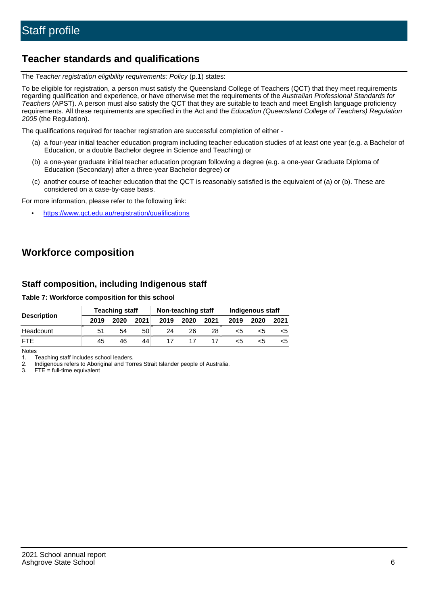# **Teacher standards and qualifications**

The Teacher registration eligibility requirements: Policy (p.1) states:

To be eligible for registration, a person must satisfy the Queensland College of Teachers (QCT) that they meet requirements regarding qualification and experience, or have otherwise met the requirements of the Australian Professional Standards for Teachers (APST). A person must also satisfy the QCT that they are suitable to teach and meet English language proficiency requirements. All these requirements are specified in the Act and the Education (Queensland College of Teachers) Regulation 2005 (the Regulation).

The qualifications required for teacher registration are successful completion of either -

- (a) a four-year initial teacher education program including teacher education studies of at least one year (e.g. a Bachelor of Education, or a double Bachelor degree in Science and Teaching) or
- (b) a one-year graduate initial teacher education program following a degree (e.g. a one-year Graduate Diploma of Education (Secondary) after a three-year Bachelor degree) or
- (c) another course of teacher education that the QCT is reasonably satisfied is the equivalent of (a) or (b). These are considered on a case-by-case basis.

For more information, please refer to the following link:

• <https://www.qct.edu.au/registration/qualifications>

# **Workforce composition**

## **Staff composition, including Indigenous staff**

**Table 7: Workforce composition for this school**

|                    |      | <b>Teaching staff</b> |      |      | Non-teaching staff |      | Indigenous staff |      |      |  |
|--------------------|------|-----------------------|------|------|--------------------|------|------------------|------|------|--|
| <b>Description</b> | 2019 | 2020                  | 2021 | 2019 | 2020               | 2021 | 2019             | 2020 | 2021 |  |
| Headcount          | 51   | 54                    | 50   | 24   | 26                 | 28   | <5               | כ>   |      |  |
| <b>FTF</b>         | 45   | 46                    | 44   |      |                    |      | <5               |      |      |  |

Notes

1. Teaching staff includes school leaders.

2. Indigenous refers to Aboriginal and Torres Strait Islander people of Australia.

3. FTE = full-time equivalent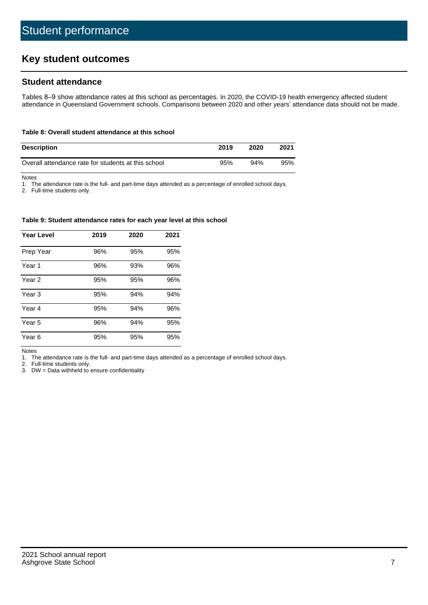# **Key student outcomes**

## **Student attendance**

Tables 8–9 show attendance rates at this school as percentages. In 2020, the COVID-19 health emergency affected student attendance in Queensland Government schools. Comparisons between 2020 and other years' attendance data should not be made.

#### **Table 8: Overall student attendance at this school**

| <b>Description</b>                                  | 2019 | 2020 | 2021 |
|-----------------------------------------------------|------|------|------|
| Overall attendance rate for students at this school | 95%  | 94%  | 95%  |

Notes

1. The attendance rate is the full- and part-time days attended as a percentage of enrolled school days.

2. Full-time students only.

#### **Table 9: Student attendance rates for each year level at this school**

| <b>Year Level</b> | 2019 | 2020 | 2021 |
|-------------------|------|------|------|
| Prep Year         | 96%  | 95%  | 95%  |
| Year <sub>1</sub> | 96%  | 93%  | 96%  |
| Year 2            | 95%  | 95%  | 96%  |
| Year 3            | 95%  | 94%  | 94%  |
| Year 4            | 95%  | 94%  | 96%  |
| Year 5            | 96%  | 94%  | 95%  |
| Year <sub>6</sub> | 95%  | 95%  | 95%  |

Notes

1. The attendance rate is the full- and part-time days attended as a percentage of enrolled school days.

2. Full-time students only.

3. DW = Data withheld to ensure confidentiality